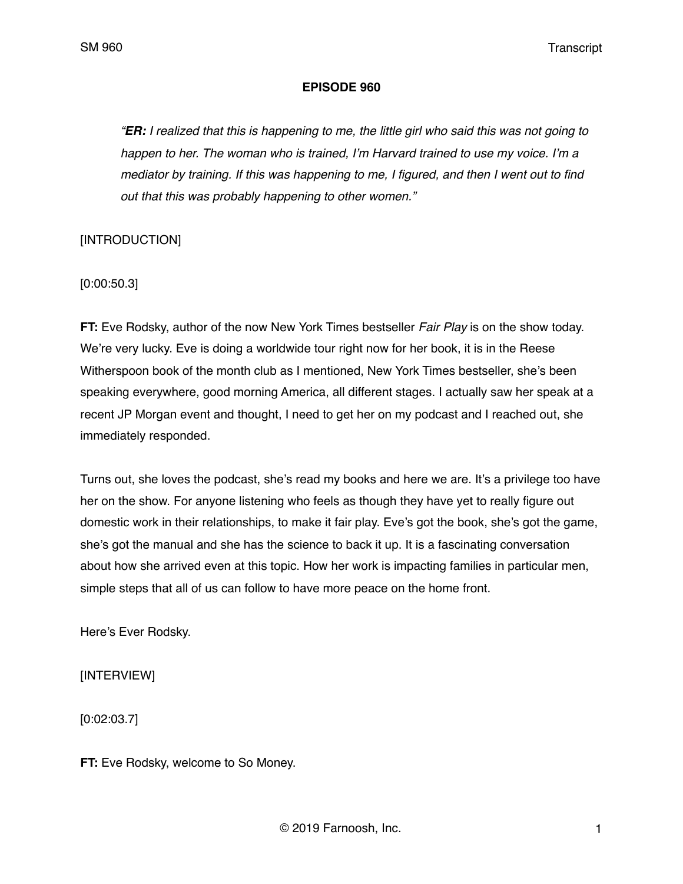### **EPISODE 960**

*"ER: I realized that this is happening to me, the little girl who said this was not going to happen to her. The woman who is trained, I'm Harvard trained to use my voice. I'm a mediator by training. If this was happening to me, I figured, and then I went out to find out that this was probably happening to other women."*

### [INTRODUCTION]

[0:00:50.3]

**FT:** Eve Rodsky, author of the now New York Times bestseller *Fair Play* is on the show today. We're very lucky. Eve is doing a worldwide tour right now for her book, it is in the Reese Witherspoon book of the month club as I mentioned, New York Times bestseller, she's been speaking everywhere, good morning America, all different stages. I actually saw her speak at a recent JP Morgan event and thought, I need to get her on my podcast and I reached out, she immediately responded.

Turns out, she loves the podcast, she's read my books and here we are. It's a privilege too have her on the show. For anyone listening who feels as though they have yet to really figure out domestic work in their relationships, to make it fair play. Eve's got the book, she's got the game, she's got the manual and she has the science to back it up. It is a fascinating conversation about how she arrived even at this topic. How her work is impacting families in particular men, simple steps that all of us can follow to have more peace on the home front.

Here's Ever Rodsky.

[INTERVIEW]

[0:02:03.7]

**FT:** Eve Rodsky, welcome to So Money.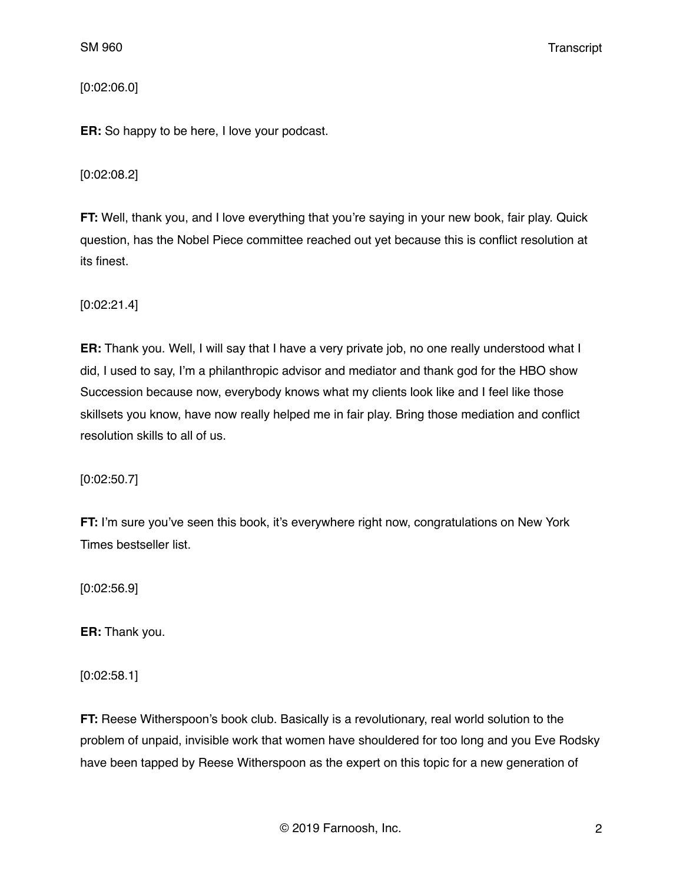### [0:02:06.0]

**ER:** So happy to be here, I love your podcast.

### [0:02:08.2]

**FT:** Well, thank you, and I love everything that you're saying in your new book, fair play. Quick question, has the Nobel Piece committee reached out yet because this is conflict resolution at its finest.

[0:02:21.4]

**ER:** Thank you. Well, I will say that I have a very private job, no one really understood what I did, I used to say, I'm a philanthropic advisor and mediator and thank god for the HBO show Succession because now, everybody knows what my clients look like and I feel like those skillsets you know, have now really helped me in fair play. Bring those mediation and conflict resolution skills to all of us.

[0:02:50.7]

**FT:** I'm sure you've seen this book, it's everywhere right now, congratulations on New York Times bestseller list.

[0:02:56.9]

**ER:** Thank you.

[0:02:58.1]

**FT:** Reese Witherspoon's book club. Basically is a revolutionary, real world solution to the problem of unpaid, invisible work that women have shouldered for too long and you Eve Rodsky have been tapped by Reese Witherspoon as the expert on this topic for a new generation of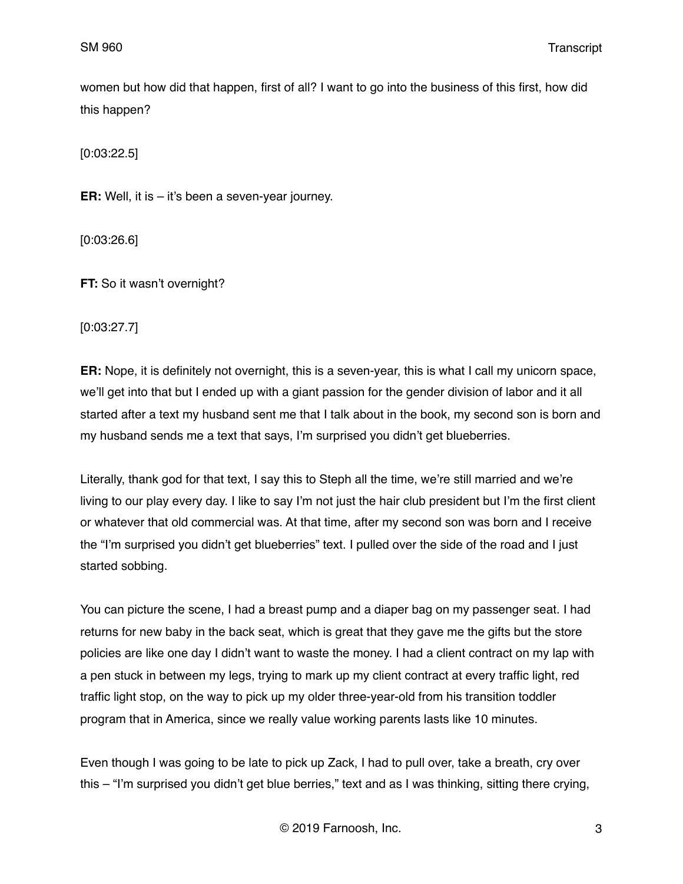women but how did that happen, first of all? I want to go into the business of this first, how did this happen?

[0:03:22.5]

**ER:** Well, it is – it's been a seven-year journey.

[0:03:26.6]

**FT:** So it wasn't overnight?

[0:03:27.7]

**ER:** Nope, it is definitely not overnight, this is a seven-year, this is what I call my unicorn space, we'll get into that but I ended up with a giant passion for the gender division of labor and it all started after a text my husband sent me that I talk about in the book, my second son is born and my husband sends me a text that says, I'm surprised you didn't get blueberries.

Literally, thank god for that text, I say this to Steph all the time, we're still married and we're living to our play every day. I like to say I'm not just the hair club president but I'm the first client or whatever that old commercial was. At that time, after my second son was born and I receive the "I'm surprised you didn't get blueberries" text. I pulled over the side of the road and I just started sobbing.

You can picture the scene, I had a breast pump and a diaper bag on my passenger seat. I had returns for new baby in the back seat, which is great that they gave me the gifts but the store policies are like one day I didn't want to waste the money. I had a client contract on my lap with a pen stuck in between my legs, trying to mark up my client contract at every traffic light, red traffic light stop, on the way to pick up my older three-year-old from his transition toddler program that in America, since we really value working parents lasts like 10 minutes.

Even though I was going to be late to pick up Zack, I had to pull over, take a breath, cry over this – "I'm surprised you didn't get blue berries," text and as I was thinking, sitting there crying,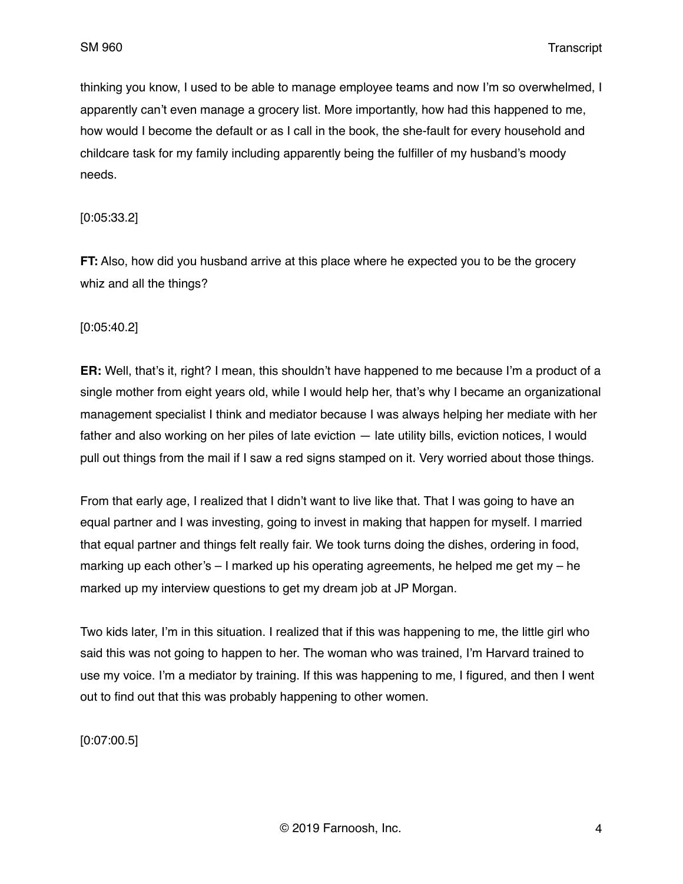thinking you know, I used to be able to manage employee teams and now I'm so overwhelmed, I apparently can't even manage a grocery list. More importantly, how had this happened to me, how would I become the default or as I call in the book, the she-fault for every household and childcare task for my family including apparently being the fulfiller of my husband's moody needs.

### [0:05:33.2]

**FT:** Also, how did you husband arrive at this place where he expected you to be the grocery whiz and all the things?

### [0:05:40.2]

**ER:** Well, that's it, right? I mean, this shouldn't have happened to me because I'm a product of a single mother from eight years old, while I would help her, that's why I became an organizational management specialist I think and mediator because I was always helping her mediate with her father and also working on her piles of late eviction — late utility bills, eviction notices, I would pull out things from the mail if I saw a red signs stamped on it. Very worried about those things.

From that early age, I realized that I didn't want to live like that. That I was going to have an equal partner and I was investing, going to invest in making that happen for myself. I married that equal partner and things felt really fair. We took turns doing the dishes, ordering in food, marking up each other's  $-1$  marked up his operating agreements, he helped me get my  $-$  he marked up my interview questions to get my dream job at JP Morgan.

Two kids later, I'm in this situation. I realized that if this was happening to me, the little girl who said this was not going to happen to her. The woman who was trained, I'm Harvard trained to use my voice. I'm a mediator by training. If this was happening to me, I figured, and then I went out to find out that this was probably happening to other women.

[0:07:00.5]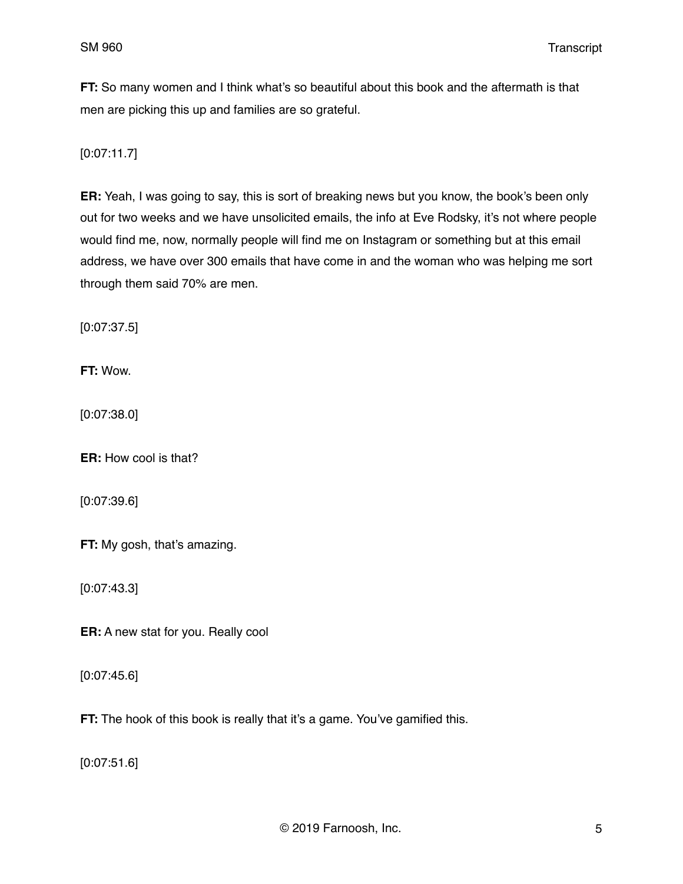**FT:** So many women and I think what's so beautiful about this book and the aftermath is that men are picking this up and families are so grateful.

[0:07:11.7]

**ER:** Yeah, I was going to say, this is sort of breaking news but you know, the book's been only out for two weeks and we have unsolicited emails, the info at Eve Rodsky, it's not where people would find me, now, normally people will find me on Instagram or something but at this email address, we have over 300 emails that have come in and the woman who was helping me sort through them said 70% are men.

[0:07:37.5]

**FT:** Wow.

[0:07:38.0]

**ER:** How cool is that?

[0:07:39.6]

**FT:** My gosh, that's amazing.

[0:07:43.3]

**ER:** A new stat for you. Really cool

[0:07:45.6]

**FT:** The hook of this book is really that it's a game. You've gamified this.

[0:07:51.6]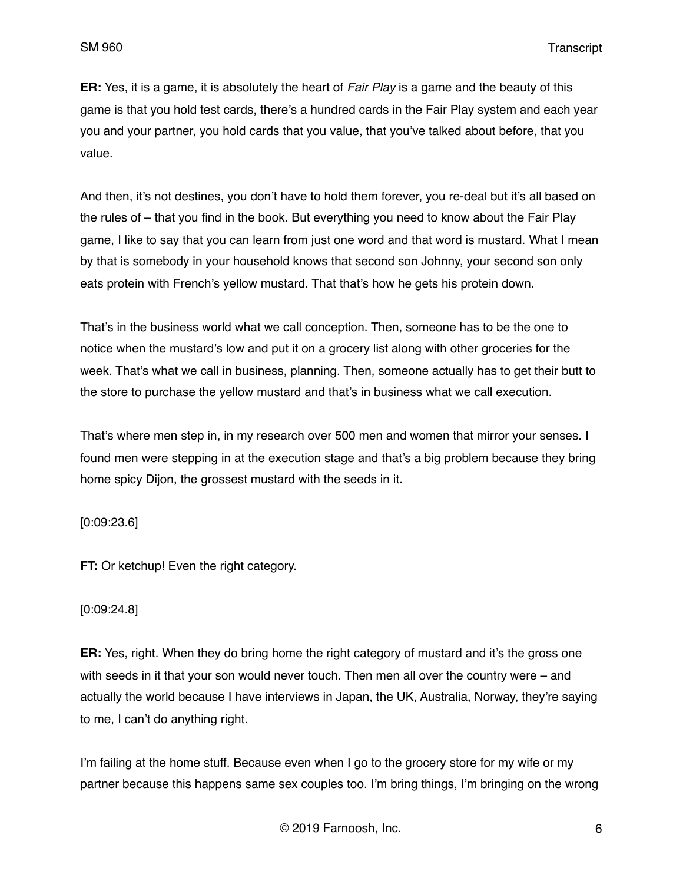**ER:** Yes, it is a game, it is absolutely the heart of *Fair Play* is a game and the beauty of this game is that you hold test cards, there's a hundred cards in the Fair Play system and each year you and your partner, you hold cards that you value, that you've talked about before, that you value.

And then, it's not destines, you don't have to hold them forever, you re-deal but it's all based on the rules of – that you find in the book. But everything you need to know about the Fair Play game, I like to say that you can learn from just one word and that word is mustard. What I mean by that is somebody in your household knows that second son Johnny, your second son only eats protein with French's yellow mustard. That that's how he gets his protein down.

That's in the business world what we call conception. Then, someone has to be the one to notice when the mustard's low and put it on a grocery list along with other groceries for the week. That's what we call in business, planning. Then, someone actually has to get their butt to the store to purchase the yellow mustard and that's in business what we call execution.

That's where men step in, in my research over 500 men and women that mirror your senses. I found men were stepping in at the execution stage and that's a big problem because they bring home spicy Dijon, the grossest mustard with the seeds in it.

[0:09:23.6]

**FT:** Or ketchup! Even the right category.

### [0:09:24.8]

**ER:** Yes, right. When they do bring home the right category of mustard and it's the gross one with seeds in it that your son would never touch. Then men all over the country were – and actually the world because I have interviews in Japan, the UK, Australia, Norway, they're saying to me, I can't do anything right.

I'm failing at the home stuff. Because even when I go to the grocery store for my wife or my partner because this happens same sex couples too. I'm bring things, I'm bringing on the wrong

© 2019 Farnoosh, Inc. 6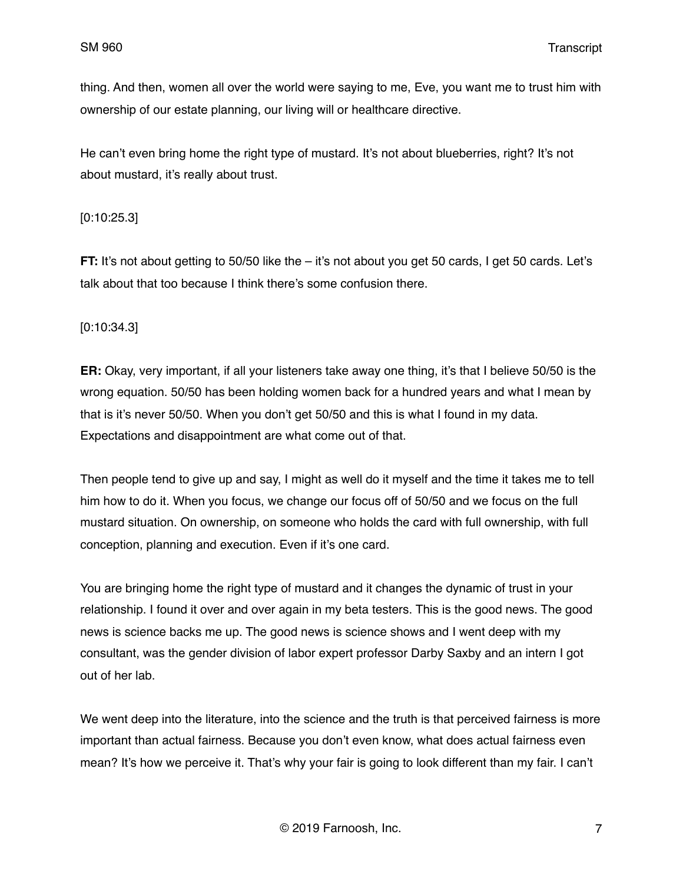thing. And then, women all over the world were saying to me, Eve, you want me to trust him with ownership of our estate planning, our living will or healthcare directive.

He can't even bring home the right type of mustard. It's not about blueberries, right? It's not about mustard, it's really about trust.

### [0:10:25.3]

**FT:** It's not about getting to 50/50 like the – it's not about you get 50 cards, I get 50 cards. Let's talk about that too because I think there's some confusion there.

### [0:10:34.3]

**ER:** Okay, very important, if all your listeners take away one thing, it's that I believe 50/50 is the wrong equation. 50/50 has been holding women back for a hundred years and what I mean by that is it's never 50/50. When you don't get 50/50 and this is what I found in my data. Expectations and disappointment are what come out of that.

Then people tend to give up and say, I might as well do it myself and the time it takes me to tell him how to do it. When you focus, we change our focus off of 50/50 and we focus on the full mustard situation. On ownership, on someone who holds the card with full ownership, with full conception, planning and execution. Even if it's one card.

You are bringing home the right type of mustard and it changes the dynamic of trust in your relationship. I found it over and over again in my beta testers. This is the good news. The good news is science backs me up. The good news is science shows and I went deep with my consultant, was the gender division of labor expert professor Darby Saxby and an intern I got out of her lab.

We went deep into the literature, into the science and the truth is that perceived fairness is more important than actual fairness. Because you don't even know, what does actual fairness even mean? It's how we perceive it. That's why your fair is going to look different than my fair. I can't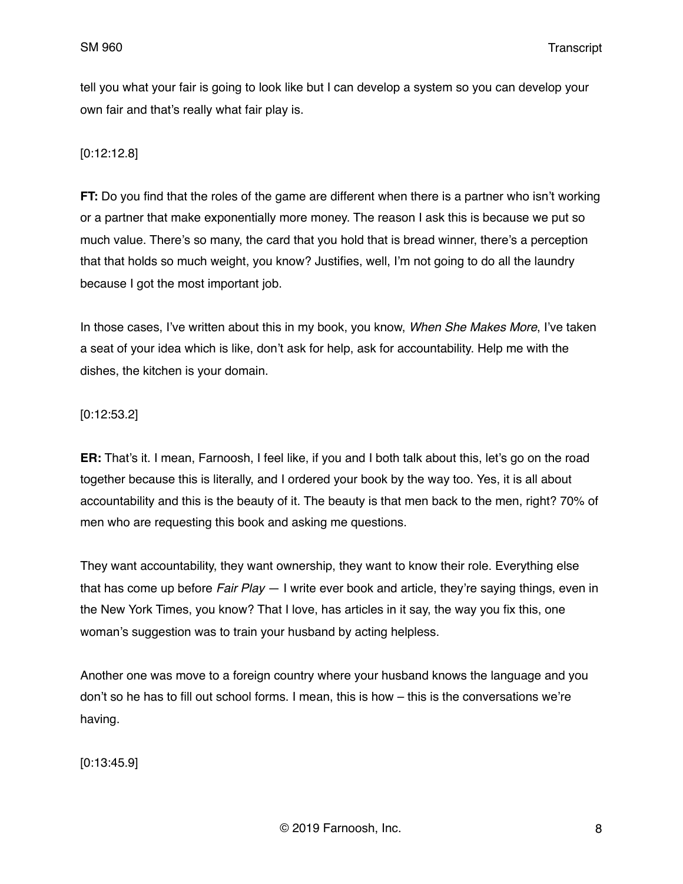tell you what your fair is going to look like but I can develop a system so you can develop your own fair and that's really what fair play is.

### [0:12:12.8]

**FT:** Do you find that the roles of the game are different when there is a partner who isn't working or a partner that make exponentially more money. The reason I ask this is because we put so much value. There's so many, the card that you hold that is bread winner, there's a perception that that holds so much weight, you know? Justifies, well, I'm not going to do all the laundry because I got the most important job.

In those cases, I've written about this in my book, you know, *When She Makes More*, I've taken a seat of your idea which is like, don't ask for help, ask for accountability. Help me with the dishes, the kitchen is your domain.

### [0:12:53.2]

**ER:** That's it. I mean, Farnoosh, I feel like, if you and I both talk about this, let's go on the road together because this is literally, and I ordered your book by the way too. Yes, it is all about accountability and this is the beauty of it. The beauty is that men back to the men, right? 70% of men who are requesting this book and asking me questions.

They want accountability, they want ownership, they want to know their role. Everything else that has come up before *Fair Play* — I write ever book and article, they're saying things, even in the New York Times, you know? That I love, has articles in it say, the way you fix this, one woman's suggestion was to train your husband by acting helpless.

Another one was move to a foreign country where your husband knows the language and you don't so he has to fill out school forms. I mean, this is how – this is the conversations we're having.

[0:13:45.9]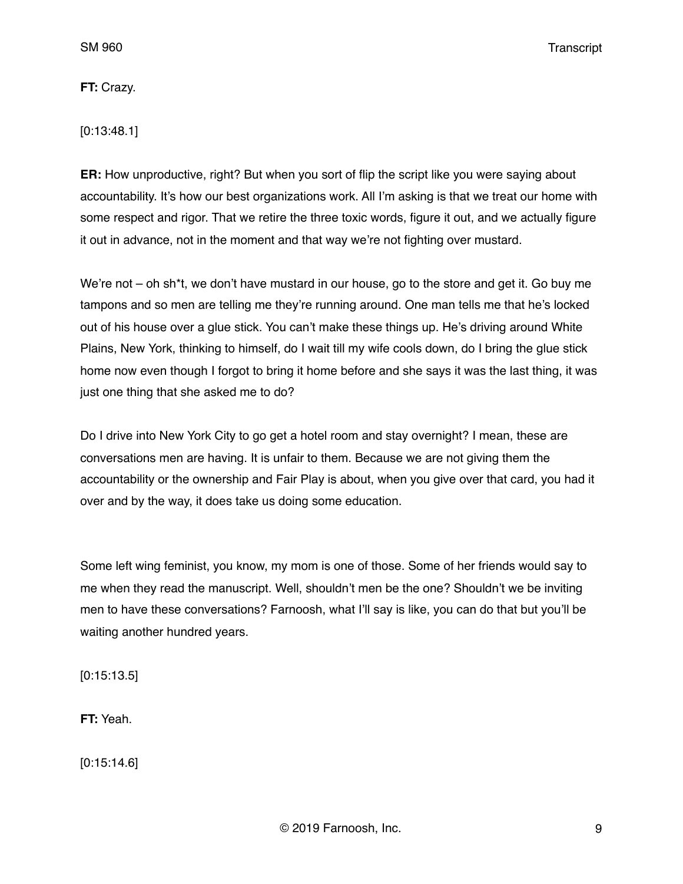**FT:** Crazy.

[0:13:48.1]

**ER:** How unproductive, right? But when you sort of flip the script like you were saying about accountability. It's how our best organizations work. All I'm asking is that we treat our home with some respect and rigor. That we retire the three toxic words, figure it out, and we actually figure it out in advance, not in the moment and that way we're not fighting over mustard.

We're not – oh sh\*t, we don't have mustard in our house, go to the store and get it. Go buy me tampons and so men are telling me they're running around. One man tells me that he's locked out of his house over a glue stick. You can't make these things up. He's driving around White Plains, New York, thinking to himself, do I wait till my wife cools down, do I bring the glue stick home now even though I forgot to bring it home before and she says it was the last thing, it was just one thing that she asked me to do?

Do I drive into New York City to go get a hotel room and stay overnight? I mean, these are conversations men are having. It is unfair to them. Because we are not giving them the accountability or the ownership and Fair Play is about, when you give over that card, you had it over and by the way, it does take us doing some education.

Some left wing feminist, you know, my mom is one of those. Some of her friends would say to me when they read the manuscript. Well, shouldn't men be the one? Shouldn't we be inviting men to have these conversations? Farnoosh, what I'll say is like, you can do that but you'll be waiting another hundred years.

[0:15:13.5]

**FT:** Yeah.

[0:15:14.6]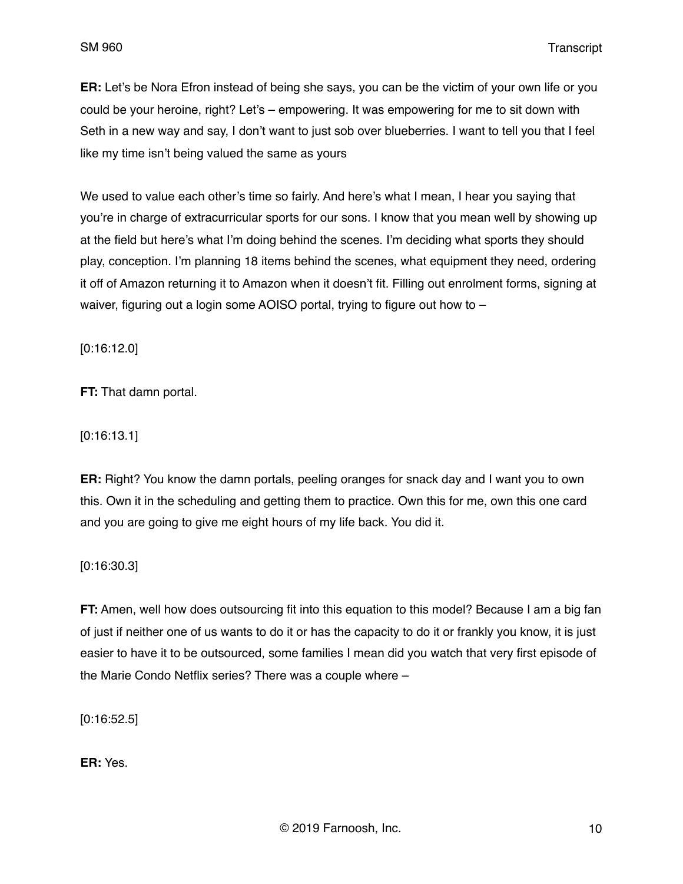**ER:** Let's be Nora Efron instead of being she says, you can be the victim of your own life or you could be your heroine, right? Let's – empowering. It was empowering for me to sit down with Seth in a new way and say, I don't want to just sob over blueberries. I want to tell you that I feel like my time isn't being valued the same as yours

We used to value each other's time so fairly. And here's what I mean, I hear you saying that you're in charge of extracurricular sports for our sons. I know that you mean well by showing up at the field but here's what I'm doing behind the scenes. I'm deciding what sports they should play, conception. I'm planning 18 items behind the scenes, what equipment they need, ordering it off of Amazon returning it to Amazon when it doesn't fit. Filling out enrolment forms, signing at waiver, figuring out a login some AOISO portal, trying to figure out how to –

[0:16:12.0]

**FT:** That damn portal.

[0:16:13.1]

**ER:** Right? You know the damn portals, peeling oranges for snack day and I want you to own this. Own it in the scheduling and getting them to practice. Own this for me, own this one card and you are going to give me eight hours of my life back. You did it.

[0:16:30.3]

**FT:** Amen, well how does outsourcing fit into this equation to this model? Because I am a big fan of just if neither one of us wants to do it or has the capacity to do it or frankly you know, it is just easier to have it to be outsourced, some families I mean did you watch that very first episode of the Marie Condo Netflix series? There was a couple where –

[0:16:52.5]

**ER:** Yes.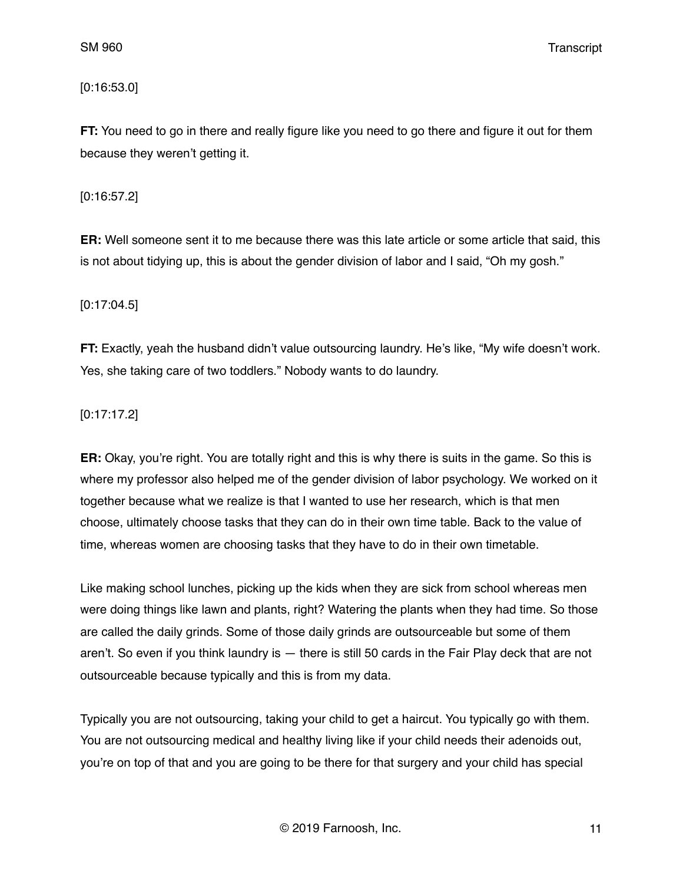[0:16:53.0]

**FT:** You need to go in there and really figure like you need to go there and figure it out for them because they weren't getting it.

[0:16:57.2]

**ER:** Well someone sent it to me because there was this late article or some article that said, this is not about tidying up, this is about the gender division of labor and I said, "Oh my gosh."

[0:17:04.5]

**FT:** Exactly, yeah the husband didn't value outsourcing laundry. He's like, "My wife doesn't work. Yes, she taking care of two toddlers." Nobody wants to do laundry.

[0:17:17.2]

**ER:** Okay, you're right. You are totally right and this is why there is suits in the game. So this is where my professor also helped me of the gender division of labor psychology. We worked on it together because what we realize is that I wanted to use her research, which is that men choose, ultimately choose tasks that they can do in their own time table. Back to the value of time, whereas women are choosing tasks that they have to do in their own timetable.

Like making school lunches, picking up the kids when they are sick from school whereas men were doing things like lawn and plants, right? Watering the plants when they had time. So those are called the daily grinds. Some of those daily grinds are outsourceable but some of them aren't. So even if you think laundry is — there is still 50 cards in the Fair Play deck that are not outsourceable because typically and this is from my data.

Typically you are not outsourcing, taking your child to get a haircut. You typically go with them. You are not outsourcing medical and healthy living like if your child needs their adenoids out, you're on top of that and you are going to be there for that surgery and your child has special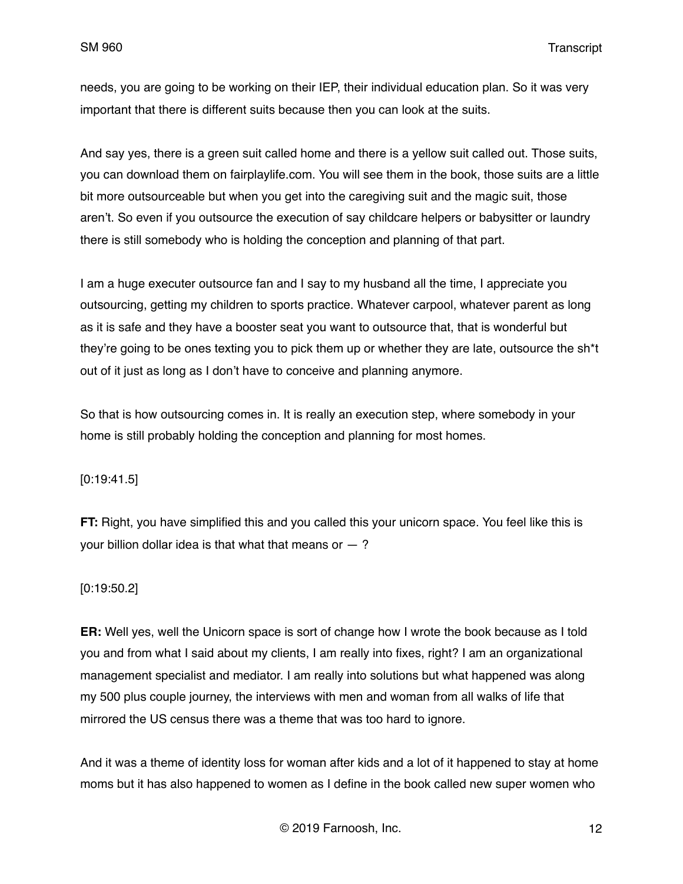needs, you are going to be working on their IEP, their individual education plan. So it was very important that there is different suits because then you can look at the suits.

And say yes, there is a green suit called home and there is a yellow suit called out. Those suits, you can download them on fairplaylife.com. You will see them in the book, those suits are a little bit more outsourceable but when you get into the caregiving suit and the magic suit, those aren't. So even if you outsource the execution of say childcare helpers or babysitter or laundry there is still somebody who is holding the conception and planning of that part.

I am a huge executer outsource fan and I say to my husband all the time, I appreciate you outsourcing, getting my children to sports practice. Whatever carpool, whatever parent as long as it is safe and they have a booster seat you want to outsource that, that is wonderful but they're going to be ones texting you to pick them up or whether they are late, outsource the sh\*t out of it just as long as I don't have to conceive and planning anymore.

So that is how outsourcing comes in. It is really an execution step, where somebody in your home is still probably holding the conception and planning for most homes.

### [0:19:41.5]

**FT:** Right, you have simplified this and you called this your unicorn space. You feel like this is your billion dollar idea is that what that means or  $-$  ?

### [0:19:50.2]

**ER:** Well yes, well the Unicorn space is sort of change how I wrote the book because as I told you and from what I said about my clients, I am really into fixes, right? I am an organizational management specialist and mediator. I am really into solutions but what happened was along my 500 plus couple journey, the interviews with men and woman from all walks of life that mirrored the US census there was a theme that was too hard to ignore.

And it was a theme of identity loss for woman after kids and a lot of it happened to stay at home moms but it has also happened to women as I define in the book called new super women who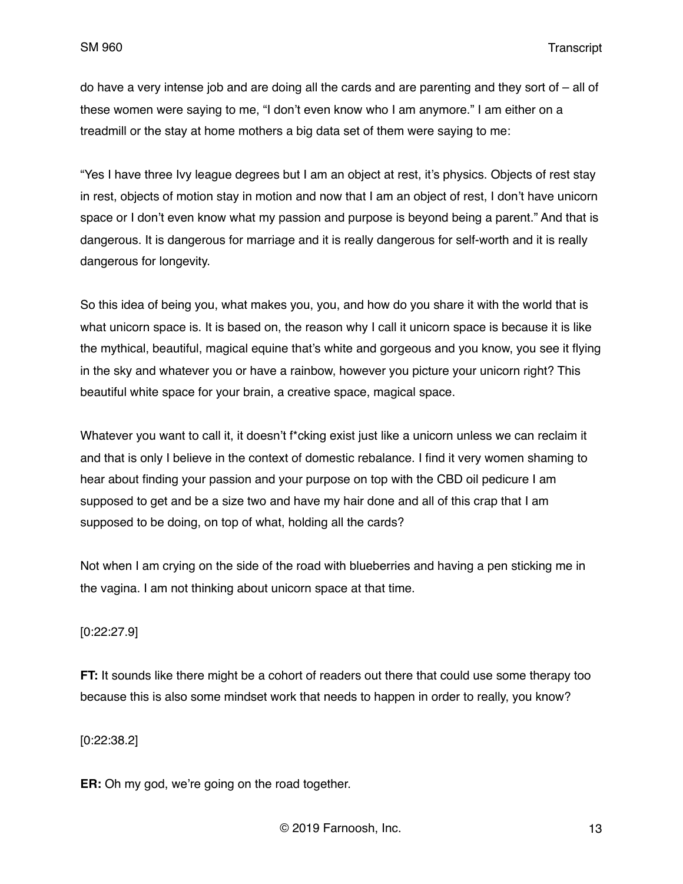do have a very intense job and are doing all the cards and are parenting and they sort of – all of these women were saying to me, "I don't even know who I am anymore." I am either on a treadmill or the stay at home mothers a big data set of them were saying to me:

"Yes I have three Ivy league degrees but I am an object at rest, it's physics. Objects of rest stay in rest, objects of motion stay in motion and now that I am an object of rest, I don't have unicorn space or I don't even know what my passion and purpose is beyond being a parent." And that is dangerous. It is dangerous for marriage and it is really dangerous for self-worth and it is really dangerous for longevity.

So this idea of being you, what makes you, you, and how do you share it with the world that is what unicorn space is. It is based on, the reason why I call it unicorn space is because it is like the mythical, beautiful, magical equine that's white and gorgeous and you know, you see it flying in the sky and whatever you or have a rainbow, however you picture your unicorn right? This beautiful white space for your brain, a creative space, magical space.

Whatever you want to call it, it doesn't f\*cking exist just like a unicorn unless we can reclaim it and that is only I believe in the context of domestic rebalance. I find it very women shaming to hear about finding your passion and your purpose on top with the CBD oil pedicure I am supposed to get and be a size two and have my hair done and all of this crap that I am supposed to be doing, on top of what, holding all the cards?

Not when I am crying on the side of the road with blueberries and having a pen sticking me in the vagina. I am not thinking about unicorn space at that time.

### [0:22:27.9]

**FT:** It sounds like there might be a cohort of readers out there that could use some therapy too because this is also some mindset work that needs to happen in order to really, you know?

### [0:22:38.2]

**ER:** Oh my god, we're going on the road together.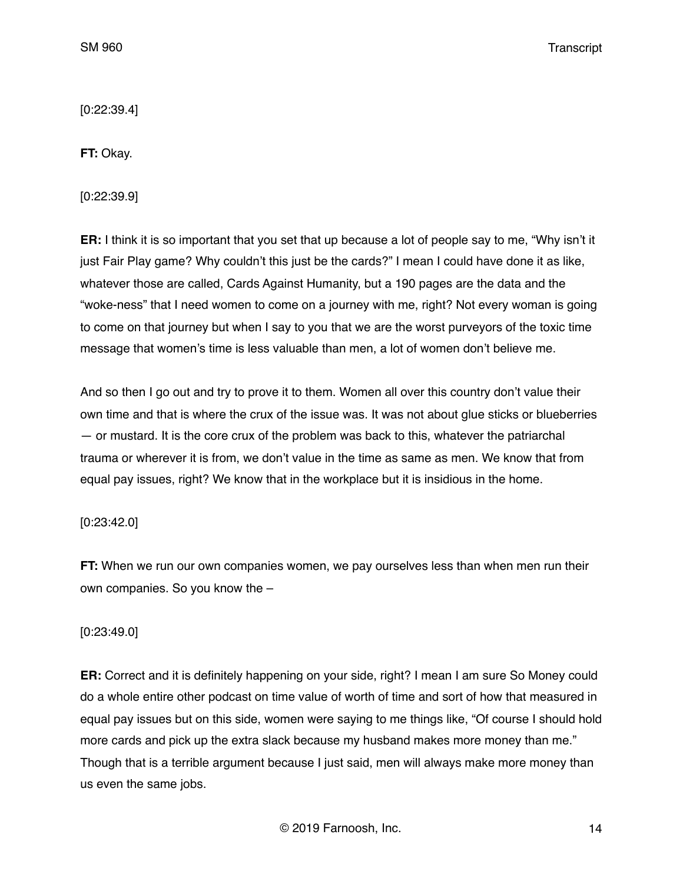[0:22:39.4]

**FT:** Okay.

[0:22:39.9]

**ER:** I think it is so important that you set that up because a lot of people say to me, "Why isn't it just Fair Play game? Why couldn't this just be the cards?" I mean I could have done it as like, whatever those are called, Cards Against Humanity, but a 190 pages are the data and the "woke-ness" that I need women to come on a journey with me, right? Not every woman is going to come on that journey but when I say to you that we are the worst purveyors of the toxic time message that women's time is less valuable than men, a lot of women don't believe me.

And so then I go out and try to prove it to them. Women all over this country don't value their own time and that is where the crux of the issue was. It was not about glue sticks or blueberries — or mustard. It is the core crux of the problem was back to this, whatever the patriarchal trauma or wherever it is from, we don't value in the time as same as men. We know that from equal pay issues, right? We know that in the workplace but it is insidious in the home.

# [0:23:42.0]

**FT:** When we run our own companies women, we pay ourselves less than when men run their own companies. So you know the –

# [0:23:49.0]

**ER:** Correct and it is definitely happening on your side, right? I mean I am sure So Money could do a whole entire other podcast on time value of worth of time and sort of how that measured in equal pay issues but on this side, women were saying to me things like, "Of course I should hold more cards and pick up the extra slack because my husband makes more money than me." Though that is a terrible argument because I just said, men will always make more money than us even the same jobs.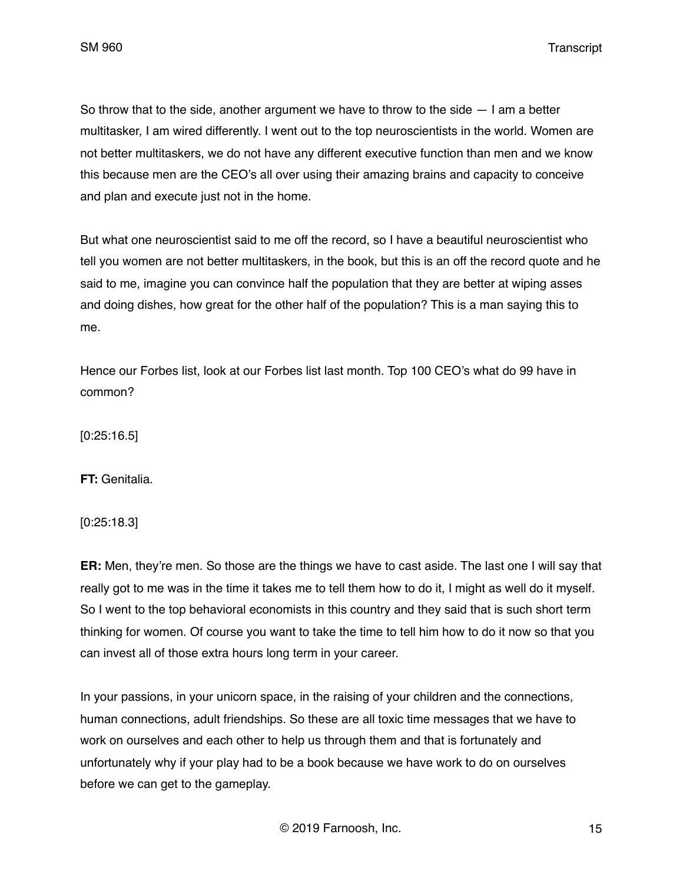SM 960 Transcript

So throw that to the side, another argument we have to throw to the side  $-1$  am a better multitasker, I am wired differently. I went out to the top neuroscientists in the world. Women are not better multitaskers, we do not have any different executive function than men and we know this because men are the CEO's all over using their amazing brains and capacity to conceive and plan and execute just not in the home.

But what one neuroscientist said to me off the record, so I have a beautiful neuroscientist who tell you women are not better multitaskers, in the book, but this is an off the record quote and he said to me, imagine you can convince half the population that they are better at wiping asses and doing dishes, how great for the other half of the population? This is a man saying this to me.

Hence our Forbes list, look at our Forbes list last month. Top 100 CEO's what do 99 have in common?

[0:25:16.5]

**FT:** Genitalia.

[0:25:18.3]

**ER:** Men, they're men. So those are the things we have to cast aside. The last one I will say that really got to me was in the time it takes me to tell them how to do it, I might as well do it myself. So I went to the top behavioral economists in this country and they said that is such short term thinking for women. Of course you want to take the time to tell him how to do it now so that you can invest all of those extra hours long term in your career.

In your passions, in your unicorn space, in the raising of your children and the connections, human connections, adult friendships. So these are all toxic time messages that we have to work on ourselves and each other to help us through them and that is fortunately and unfortunately why if your play had to be a book because we have work to do on ourselves before we can get to the gameplay.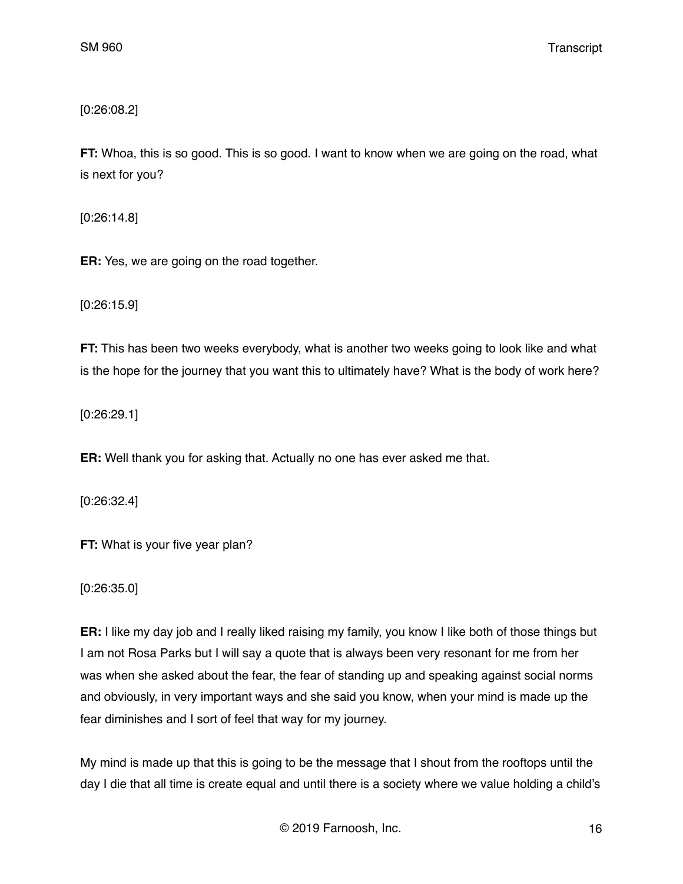[0:26:08.2]

**FT:** Whoa, this is so good. This is so good. I want to know when we are going on the road, what is next for you?

[0:26:14.8]

**ER:** Yes, we are going on the road together.

[0:26:15.9]

**FT:** This has been two weeks everybody, what is another two weeks going to look like and what is the hope for the journey that you want this to ultimately have? What is the body of work here?

[0:26:29.1]

**ER:** Well thank you for asking that. Actually no one has ever asked me that.

[0:26:32.4]

**FT:** What is your five year plan?

[0:26:35.0]

**ER:** I like my day job and I really liked raising my family, you know I like both of those things but I am not Rosa Parks but I will say a quote that is always been very resonant for me from her was when she asked about the fear, the fear of standing up and speaking against social norms and obviously, in very important ways and she said you know, when your mind is made up the fear diminishes and I sort of feel that way for my journey.

My mind is made up that this is going to be the message that I shout from the rooftops until the day I die that all time is create equal and until there is a society where we value holding a child's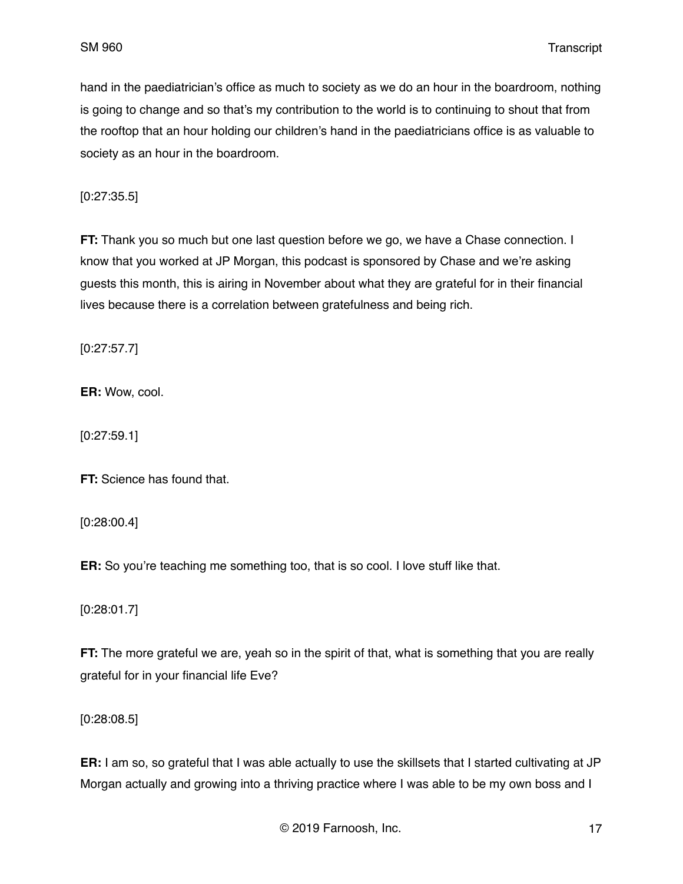hand in the paediatrician's office as much to society as we do an hour in the boardroom, nothing is going to change and so that's my contribution to the world is to continuing to shout that from the rooftop that an hour holding our children's hand in the paediatricians office is as valuable to society as an hour in the boardroom.

[0:27:35.5]

**FT:** Thank you so much but one last question before we go, we have a Chase connection. I know that you worked at JP Morgan, this podcast is sponsored by Chase and we're asking guests this month, this is airing in November about what they are grateful for in their financial lives because there is a correlation between gratefulness and being rich.

[0:27:57.7]

**ER:** Wow, cool.

[0:27:59.1]

**FT:** Science has found that.

[0:28:00.4]

**ER:** So you're teaching me something too, that is so cool. I love stuff like that.

[0:28:01.7]

**FT:** The more grateful we are, yeah so in the spirit of that, what is something that you are really grateful for in your financial life Eve?

[0:28:08.5]

**ER:** I am so, so grateful that I was able actually to use the skillsets that I started cultivating at JP Morgan actually and growing into a thriving practice where I was able to be my own boss and I

© 2019 Farnoosh, Inc. 17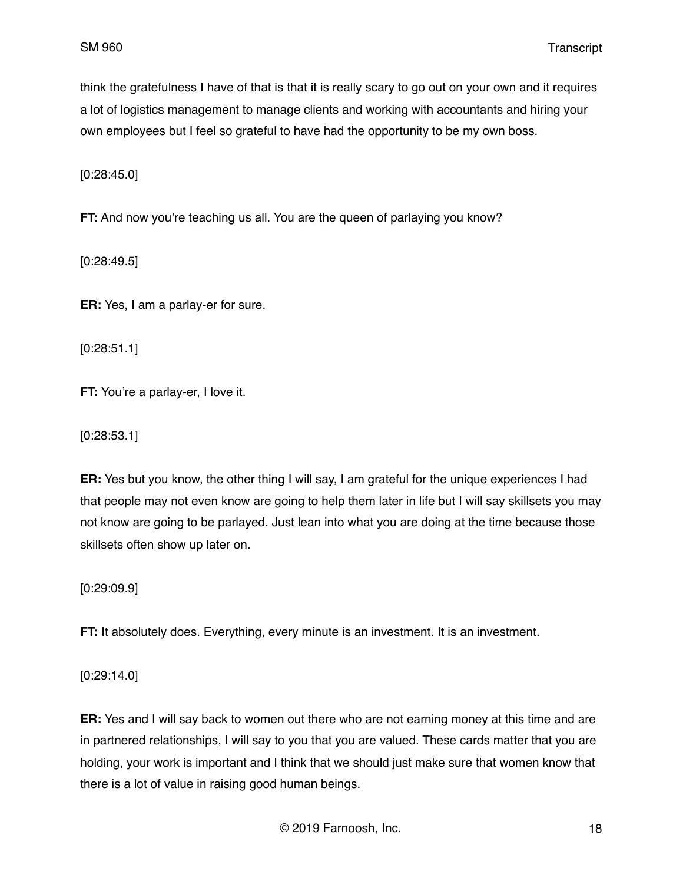think the gratefulness I have of that is that it is really scary to go out on your own and it requires a lot of logistics management to manage clients and working with accountants and hiring your own employees but I feel so grateful to have had the opportunity to be my own boss.

[0:28:45.0]

**FT:** And now you're teaching us all. You are the queen of parlaying you know?

[0:28:49.5]

**ER:** Yes, I am a parlay-er for sure.

[0:28:51.1]

**FT:** You're a parlay-er, I love it.

[0:28:53.1]

**ER:** Yes but you know, the other thing I will say, I am grateful for the unique experiences I had that people may not even know are going to help them later in life but I will say skillsets you may not know are going to be parlayed. Just lean into what you are doing at the time because those skillsets often show up later on.

[0:29:09.9]

**FT:** It absolutely does. Everything, every minute is an investment. It is an investment.

[0:29:14.0]

**ER:** Yes and I will say back to women out there who are not earning money at this time and are in partnered relationships, I will say to you that you are valued. These cards matter that you are holding, your work is important and I think that we should just make sure that women know that there is a lot of value in raising good human beings.